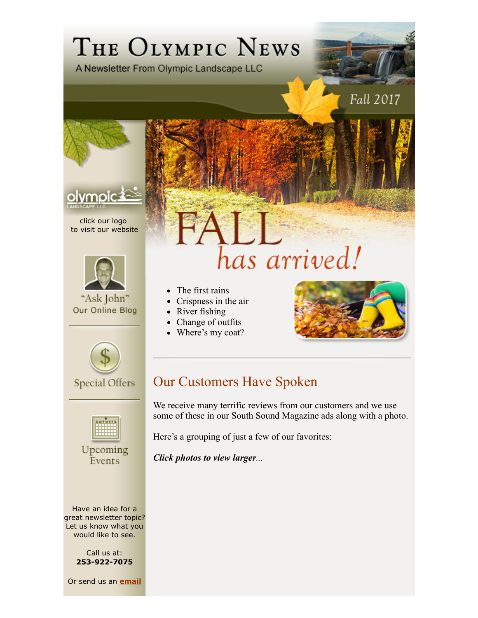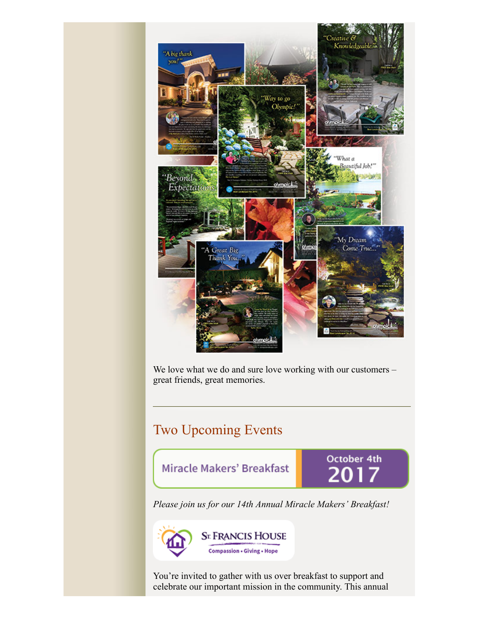

We love what we do and sure love working with our customers great friends, great memories.

## Two Upcoming Events

Miracle Makers' Breakfast

October 4th

*Please join us for our 14th Annual Miracle Makers' Breakfast!*



You're invited to gather with us over breakfast to support and celebrate our important mission in the community. This annual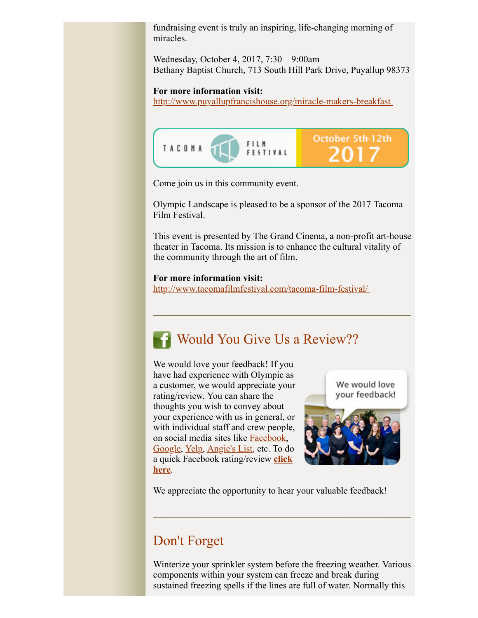fundraising event is truly an inspiring, life-changing morning of miracles.

Wednesday, October 4, 2017, 7:30 – 9:00am Bethany Baptist Church, 713 South Hill Park Drive, Puyallup 98373

### **For more information visit:**

http://www.puyallupfrancishouse.org/miracle-makers-breakfast



Come join us in this community event.

Olympic Landscape is pleased to be a sponsor of the 2017 Tacoma Film Festival.

This event is presented by The Grand Cinema, a non-profit art-house theater in Tacoma. Its mission is to enhance the cultural vitality of the community through the art of film.

### **For more information visit:**

http://www.tacomafilmfestival.com/tacoma-film-festival/

# **Would You Give Us a Review??**

We would love your feedback! If you have had experience with Olympic as a customer, we would appreciate your rating/review. You can share the thoughts you wish to convey about your experience with us in general, or with individual staff and crew people, on social media sites like Facebook, Google, Yelp, Angie's List, etc. To do a quick Facebook rating/review **click here**.



We appreciate the opportunity to hear your valuable feedback!

# Don't Forget

Winterize your sprinkler system before the freezing weather. Various components within your system can freeze and break during sustained freezing spells if the lines are full of water. Normally this